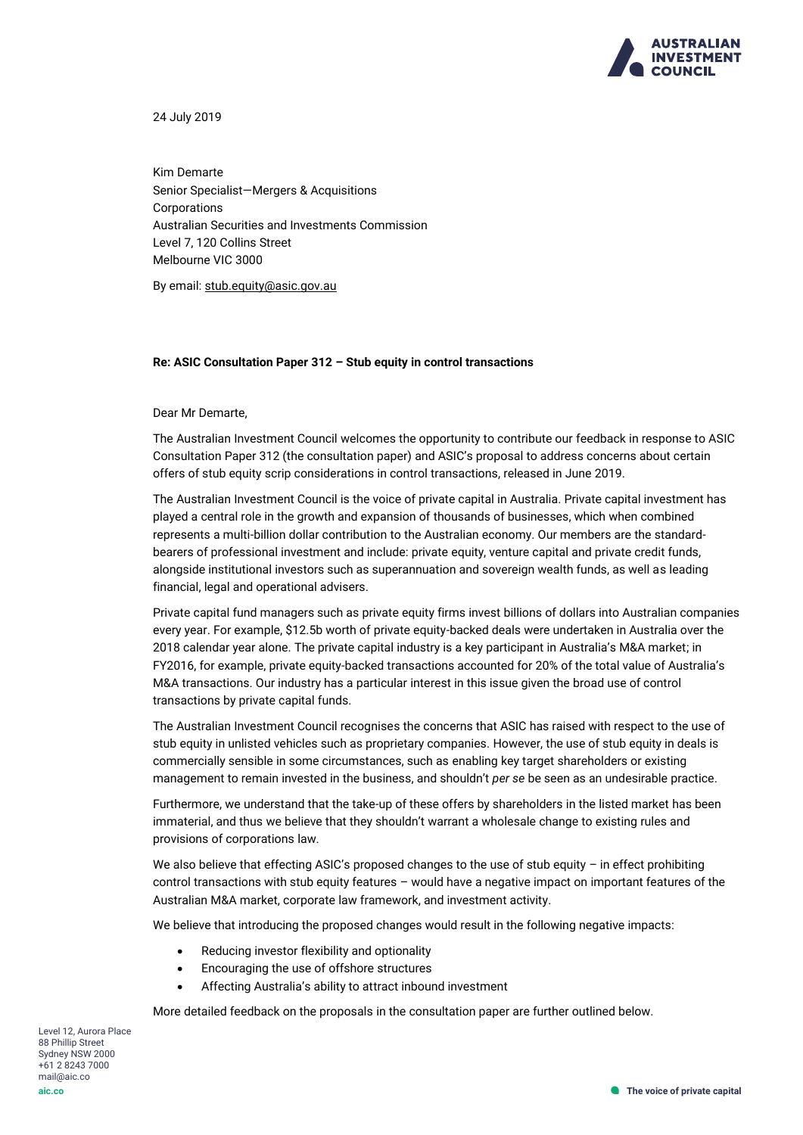

24 July 2019

Kim Demarte Senior Specialist—Mergers & Acquisitions Corporations Australian Securities and Investments Commission Level 7, 120 Collins Street Melbourne VIC 3000

By email: [stub.equity@asic.gov.au](mailto:stub.equity@asic.gov.au)

#### **Re: ASIC Consultation Paper 312 – Stub equity in control transactions**

Dear Mr Demarte,

The Australian Investment Council welcomes the opportunity to contribute our feedback in response to ASIC Consultation Paper 312 (the consultation paper) and ASIC's proposal to address concerns about certain offers of stub equity scrip considerations in control transactions, released in June 2019.

The Australian Investment Council is the voice of private capital in Australia. Private capital investment has played a central role in the growth and expansion of thousands of businesses, which when combined represents a multi-billion dollar contribution to the Australian economy. Our members are the standardbearers of professional investment and include: private equity, venture capital and private credit funds, alongside institutional investors such as superannuation and sovereign wealth funds, as well as leading financial, legal and operational advisers.

Private capital fund managers such as private equity firms invest billions of dollars into Australian companies every year. For example, \$12.5b worth of private equity-backed deals were undertaken in Australia over the 2018 calendar year alone. The private capital industry is a key participant in Australia's M&A market; in FY2016, for example, private equity-backed transactions accounted for 20% of the total value of Australia's M&A transactions. Our industry has a particular interest in this issue given the broad use of control transactions by private capital funds.

The Australian Investment Council recognises the concerns that ASIC has raised with respect to the use of stub equity in unlisted vehicles such as proprietary companies. However, the use of stub equity in deals is commercially sensible in some circumstances, such as enabling key target shareholders or existing management to remain invested in the business, and shouldn't *per se* be seen as an undesirable practice.

Furthermore, we understand that the take-up of these offers by shareholders in the listed market has been immaterial, and thus we believe that they shouldn't warrant a wholesale change to existing rules and provisions of corporations law.

We also believe that effecting ASIC's proposed changes to the use of stub equity – in effect prohibiting control transactions with stub equity features – would have a negative impact on important features of the Australian M&A market, corporate law framework, and investment activity.

We believe that introducing the proposed changes would result in the following negative impacts:

- Reducing investor flexibility and optionality
- Encouraging the use of offshore structures
- Affecting Australia's ability to attract inbound investment

More detailed feedback on the proposals in the consultation paper are further outlined below.

Level 12, Aurora Place 88 Phillip Street Sydney NSW 2000 +61 2 8243 7000 mail@aic.co **aic.co**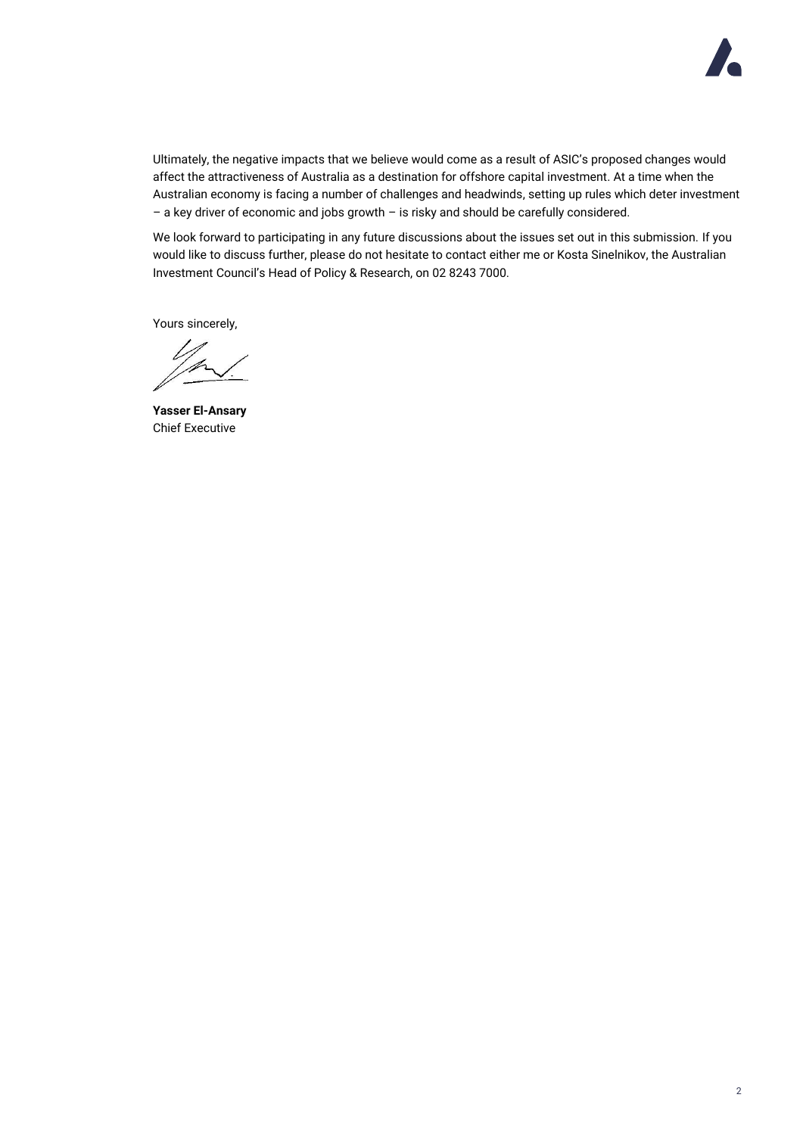

Ultimately, the negative impacts that we believe would come as a result of ASIC's proposed changes would affect the attractiveness of Australia as a destination for offshore capital investment. At a time when the Australian economy is facing a number of challenges and headwinds, setting up rules which deter investment – a key driver of economic and jobs growth – is risky and should be carefully considered.

We look forward to participating in any future discussions about the issues set out in this submission. If you would like to discuss further, please do not hesitate to contact either me or Kosta Sinelnikov, the Australian Investment Council's Head of Policy & Research, on 02 8243 7000.

Yours sincerely,

**Yasser El-Ansary** Chief Executive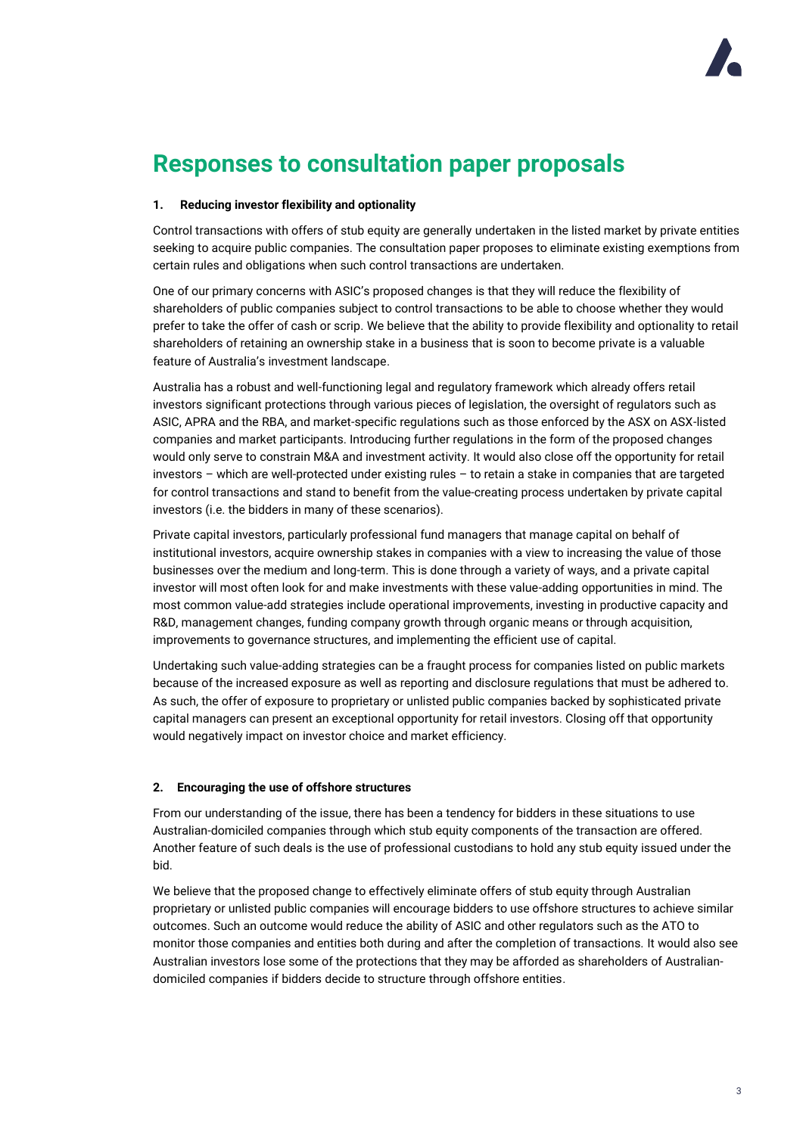

# **Responses to consultation paper proposals**

### **1. Reducing investor flexibility and optionality**

Control transactions with offers of stub equity are generally undertaken in the listed market by private entities seeking to acquire public companies. The consultation paper proposes to eliminate existing exemptions from certain rules and obligations when such control transactions are undertaken.

One of our primary concerns with ASIC's proposed changes is that they will reduce the flexibility of shareholders of public companies subject to control transactions to be able to choose whether they would prefer to take the offer of cash or scrip. We believe that the ability to provide flexibility and optionality to retail shareholders of retaining an ownership stake in a business that is soon to become private is a valuable feature of Australia's investment landscape.

Australia has a robust and well-functioning legal and regulatory framework which already offers retail investors significant protections through various pieces of legislation, the oversight of regulators such as ASIC, APRA and the RBA, and market-specific regulations such as those enforced by the ASX on ASX-listed companies and market participants. Introducing further regulations in the form of the proposed changes would only serve to constrain M&A and investment activity. It would also close off the opportunity for retail investors – which are well-protected under existing rules – to retain a stake in companies that are targeted for control transactions and stand to benefit from the value-creating process undertaken by private capital investors (i.e. the bidders in many of these scenarios).

Private capital investors, particularly professional fund managers that manage capital on behalf of institutional investors, acquire ownership stakes in companies with a view to increasing the value of those businesses over the medium and long-term. This is done through a variety of ways, and a private capital investor will most often look for and make investments with these value-adding opportunities in mind. The most common value-add strategies include operational improvements, investing in productive capacity and R&D, management changes, funding company growth through organic means or through acquisition, improvements to governance structures, and implementing the efficient use of capital.

Undertaking such value-adding strategies can be a fraught process for companies listed on public markets because of the increased exposure as well as reporting and disclosure regulations that must be adhered to. As such, the offer of exposure to proprietary or unlisted public companies backed by sophisticated private capital managers can present an exceptional opportunity for retail investors. Closing off that opportunity would negatively impact on investor choice and market efficiency.

## **2. Encouraging the use of offshore structures**

From our understanding of the issue, there has been a tendency for bidders in these situations to use Australian-domiciled companies through which stub equity components of the transaction are offered. Another feature of such deals is the use of professional custodians to hold any stub equity issued under the bid.

We believe that the proposed change to effectively eliminate offers of stub equity through Australian proprietary or unlisted public companies will encourage bidders to use offshore structures to achieve similar outcomes. Such an outcome would reduce the ability of ASIC and other regulators such as the ATO to monitor those companies and entities both during and after the completion of transactions. It would also see Australian investors lose some of the protections that they may be afforded as shareholders of Australiandomiciled companies if bidders decide to structure through offshore entities.